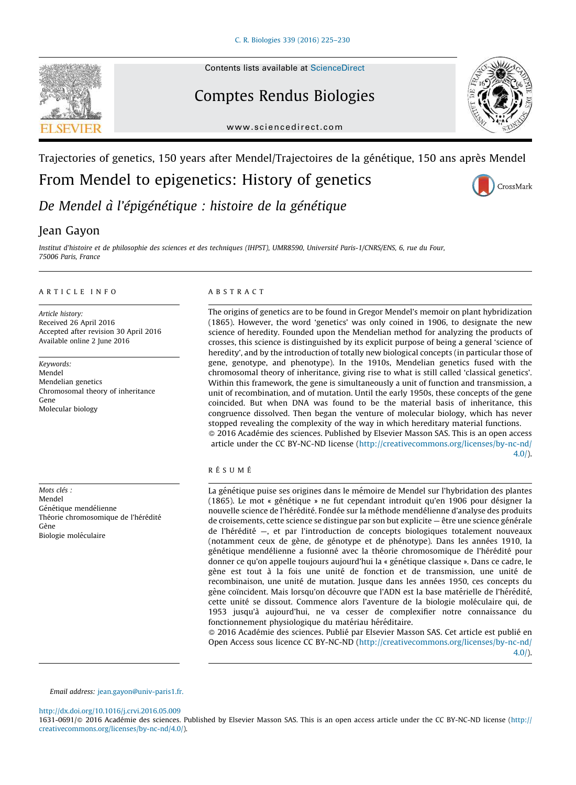

#### Contents lists available at [ScienceDirect](http://www.sciencedirect.com/science/journal/16310691)

# Comptes Rendus Biologies



#### www.sciencedirect.com

## Trajectories of genetics, 150 years after Mendel/Trajectoires de la génétique, 150 ans après Mendel

From Mendel to epigenetics: History of genetics

CrossMark

De Mendel à l'épigénétique : histoire de la génétique

## Jean Gayon

Institut d'histoire et de philosophie des sciences et des techniques (IHPST), UMR8590, Université Paris-1/CNRS/ENS, 6, rue du Four, 75006 Paris, France

#### A R T I C L E I N F O

Article history: Received 26 April 2016 Accepted after revision 30 April 2016 Available online 2 June 2016

Keywords: Mendel Mendelian genetics Chromosomal theory of inheritance Gene Molecular biology

Mots clés : Mendel Génétique mendélienne Théorie chromosomique de l'hérédité Gène Biologie moléculaire

#### A B S T R A C T

The origins of genetics are to be found in Gregor Mendel's memoir on plant hybridization (1865). However, the word 'genetics' was only coined in 1906, to designate the new science of heredity. Founded upon the Mendelian method for analyzing the products of crosses, this science is distinguished by its explicit purpose of being a general 'science of heredity', and by the introduction of totally new biological concepts (in particular those of gene, genotype, and phenotype). In the 1910s, Mendelian genetics fused with the chromosomal theory of inheritance, giving rise to what is still called 'classical genetics'. Within this framework, the gene is simultaneously a unit of function and transmission, a unit of recombination, and of mutation. Until the early 1950s, these concepts of the gene coincided. But when DNA was found to be the material basis of inheritance, this congruence dissolved. Then began the venture of molecular biology, which has never stopped revealing the complexity of the way in which hereditary material functions.  $\odot$  2016 Académie des sciences. Published by Elsevier Masson SAS. This is an open access

article under the CC BY-NC-ND license ([http://creativecommons.org/licenses/by-nc-nd/](http://creativecommons.org/licenses/by-nc-nd/4.0/) [4.0/\)](http://creativecommons.org/licenses/by-nc-nd/4.0/).

### RÉSUMÉ

La génétique puise ses origines dans le mémoire de Mendel sur l'hybridation des plantes (1865). Le mot « génétique » ne fut cependant introduit qu'en 1906 pour désigner la nouvelle science de l'hérédité. Fondée sur la méthode mendélienne d'analyse des produits de croisements, cette science se distingue par son but explicite  $-$  être une science générale de l'hérédité –, et par l'introduction de concepts biologiques totalement nouveaux (notamment ceux de gène, de génotype et de phénotype). Dans les années 1910, la génétique mendélienne a fusionné avec la théorie chromosomique de l'hérédité pour donner ce qu'on appelle toujours aujourd'hui la « génétique classique ». Dans ce cadre, le gène est tout à la fois une unité de fonction et de transmission, une unité de recombinaison, une unité de mutation. Jusque dans les années 1950, ces concepts du gène coïncident. Mais lorsqu'on découvre que l'ADN est la base matérielle de l'hérédité, cette unité se dissout. Commence alors l'aventure de la biologie moléculaire qui, de 1953 jusqu'a` aujourd'hui, ne va cesser de complexifier notre connaissance du fonctionnement physiologique du matériau héréditaire.

 $\odot$  2016 Académie des sciences. Publié par Elsevier Masson SAS. Cet article est publié en Open Access sous licence CC BY-NC-ND ([http://creativecommons.org/licenses/by-nc-nd/](http://creativecommons.org/licenses/by-nc-nd/4.0/) [4.0/\)](http://creativecommons.org/licenses/by-nc-nd/4.0/).

Email address: [jean.gayon@univ-paris1.fr.](mailto:jean.gayon@univ-paris1.fr)

<http://dx.doi.org/10.1016/j.crvi.2016.05.009>

1631-0691/@ 2016 Académie des sciences. Published by Elsevier Masson SAS. This is an open access article under the CC BY-NC-ND license [\(http://](http://creativecommons.org/licenses/by-nc-nd/4.0/) [creativecommons.org/licenses/by-nc-nd/4.0/](http://creativecommons.org/licenses/by-nc-nd/4.0/)).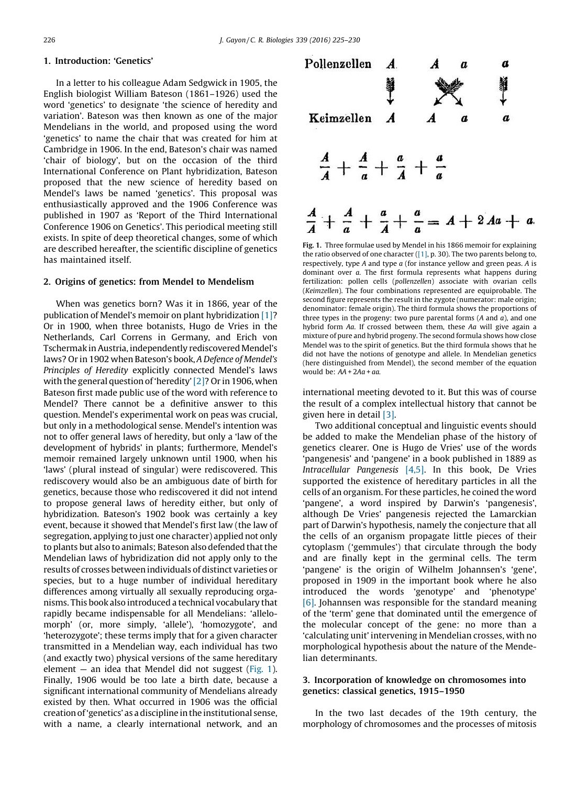### 1. Introduction: 'Genetics'

In a letter to his colleague Adam Sedgwick in 1905, the English biologist William Bateson (1861–1926) used the word 'genetics' to designate 'the science of heredity and variation'. Bateson was then known as one of the major Mendelians in the world, and proposed using the word 'genetics' to name the chair that was created for him at Cambridge in 1906. In the end, Bateson's chair was named 'chair of biology', but on the occasion of the third International Conference on Plant hybridization, Bateson proposed that the new science of heredity based on Mendel's laws be named 'genetics'. This proposal was enthusiastically approved and the 1906 Conference was published in 1907 as 'Report of the Third International Conference 1906 on Genetics'. This periodical meeting still exists. In spite of deep theoretical changes, some of which are described hereafter, the scientific discipline of genetics has maintained itself.

#### 2. Origins of genetics: from Mendel to Mendelism

When was genetics born? Was it in 1866, year of the publication of Mendel's memoir on plant hybridization [\[1\]?](#page-5-0) Or in 1900, when three botanists, Hugo de Vries in the Netherlands, Carl Correns in Germany, and Erich von Tschermak inAustria, independently rediscovered Mendel's laws? Or in 1902 when Bateson's book, A Defence of Mendel's Principles of Heredity explicitly connected Mendel's laws with the general question of 'heredity'  $[2]$ ? Or in 1906, when Bateson first made public use of the word with reference to Mendel? There cannot be a definitive answer to this question. Mendel's experimental work on peas was crucial, but only in a methodological sense. Mendel's intention was not to offer general laws of heredity, but only a 'law of the development of hybrids' in plants; furthermore, Mendel's memoir remained largely unknown until 1900, when his 'laws' (plural instead of singular) were rediscovered. This rediscovery would also be an ambiguous date of birth for genetics, because those who rediscovered it did not intend to propose general laws of heredity either, but only of hybridization. Bateson's 1902 book was certainly a key event, because it showed that Mendel's first law (the law of segregation, applying to just one character) applied not only to plants but also to animals; Bateson also defended that the Mendelian laws of hybridization did not apply only to the results of crosses between individuals of distinct varieties or species, but to a huge number of individual hereditary differences among virtually all sexually reproducing organisms. This book also introduced a technical vocabulary that rapidly became indispensable for all Mendelians: 'allelomorph' (or, more simply, 'allele'), 'homozygote', and 'heterozygote'; these terms imply that for a given character transmitted in a Mendelian way, each individual has two (and exactly two) physical versions of the same hereditary element  $-$  an idea that Mendel did not suggest (Fig. 1). Finally, 1906 would be too late a birth date, because a significant international community of Mendelians already existed by then. What occurred in 1906 was the official creationof'genetics' as a discipline inthe institutional sense, with a name, a clearly international network, and an



Fig. 1. Three formulae used by Mendel in his 1866 memoir for explaining the ratio observed of one character  $([1], p. 30)$  $([1], p. 30)$ . The two parents belong to, respectively, type  $A$  and type  $a$  (for instance yellow and green peas.  $A$  is dominant over a. The first formula represents what happens during fertilization: pollen cells (pollenzellen) associate with ovarian cells (Keimzellen). The four combinations represented are equiprobable. The second figure represents the result in the zygote (numerator: male origin; denominator: female origin). The third formula shows the proportions of three types in the progeny: two pure parental forms  $(A \text{ and } a)$ , and one hybrid form Aa. If crossed between them, these Aa will give again a mixture of pure and hybrid progeny. The second formula shows how close Mendel was to the spirit of genetics. But the third formula shows that he did not have the notions of genotype and allele. In Mendelian genetics (here distinguished from Mendel), the second member of the equation would be:  $AA + 2Aa + aa$ .

international meeting devoted to it. But this was of course the result of a complex intellectual history that cannot be given here in detail [\[3\].](#page-5-0)

Two additional conceptual and linguistic events should be added to make the Mendelian phase of the history of genetics clearer. One is Hugo de Vries' use of the words 'pangenesis' and 'pangene' in a book published in 1889 as Intracellular Pangenesis [\[4,5\].](#page-5-0) In this book, De Vries supported the existence of hereditary particles in all the cells of an organism. For these particles, he coined the word 'pangene', a word inspired by Darwin's 'pangenesis', although De Vries' pangenesis rejected the Lamarckian part of Darwin's hypothesis, namely the conjecture that all the cells of an organism propagate little pieces of their cytoplasm ('gemmules') that circulate through the body and are finally kept in the germinal cells. The term 'pangene' is the origin of Wilhelm Johannsen's 'gene', proposed in 1909 in the important book where he also introduced the words 'genotype' and 'phenotype' [\[6\]](#page-5-0). Johannsen was responsible for the standard meaning of the 'term' gene that dominated until the emergence of the molecular concept of the gene: no more than a 'calculating unit' intervening in Mendelian crosses, with no morphological hypothesis about the nature of the Mendelian determinants.

#### 3. Incorporation of knowledge on chromosomes into genetics: classical genetics, 1915–1950

In the two last decades of the 19th century, the morphology of chromosomes and the processes of mitosis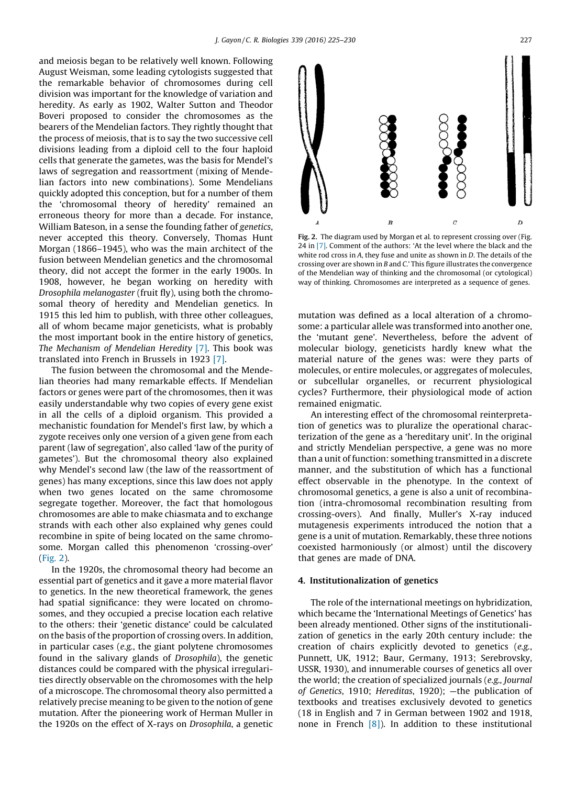and meiosis began to be relatively well known. Following August Weisman, some leading cytologists suggested that the remarkable behavior of chromosomes during cell division was important for the knowledge of variation and heredity. As early as 1902, Walter Sutton and Theodor Boveri proposed to consider the chromosomes as the bearers of the Mendelian factors. They rightly thought that the process of meiosis, that is to say the two successive cell divisions leading from a diploid cell to the four haploid cells that generate the gametes, was the basis for Mendel's laws of segregation and reassortment (mixing of Mendelian factors into new combinations). Some Mendelians quickly adopted this conception, but for a number of them the 'chromosomal theory of heredity' remained an erroneous theory for more than a decade. For instance, William Bateson, in a sense the founding father of genetics, never accepted this theory. Conversely, Thomas Hunt Morgan (1866–1945), who was the main architect of the fusion between Mendelian genetics and the chromosomal theory, did not accept the former in the early 1900s. In 1908, however, he began working on heredity with Drosophila melanogaster (fruit fly), using both the chromosomal theory of heredity and Mendelian genetics. In 1915 this led him to publish, with three other colleagues, all of whom became major geneticists, what is probably the most important book in the entire history of genetics, The Mechanism of Mendelian Heredity [\[7\]](#page-5-0). This book was translated into French in Brussels in 1923 [\[7\]](#page-5-0).

The fusion between the chromosomal and the Mendelian theories had many remarkable effects. If Mendelian factors or genes were part of the chromosomes, then it was easily understandable why two copies of every gene exist in all the cells of a diploid organism. This provided a mechanistic foundation for Mendel's first law, by which a zygote receives only one version of a given gene from each parent (law of segregation', also called 'law of the purity of gametes'). But the chromosomal theory also explained why Mendel's second law (the law of the reassortment of genes) has many exceptions, since this law does not apply when two genes located on the same chromosome segregate together. Moreover, the fact that homologous chromosomes are able to make chiasmata and to exchange strands with each other also explained why genes could recombine in spite of being located on the same chromosome. Morgan called this phenomenon 'crossing-over' (Fig. 2).

In the 1920s, the chromosomal theory had become an essential part of genetics and it gave a more material flavor to genetics. In the new theoretical framework, the genes had spatial significance: they were located on chromosomes, and they occupied a precise location each relative to the others: their 'genetic distance' could be calculated on the basis of the proportion of crossing overs. In addition, in particular cases (e.g., the giant polytene chromosomes found in the salivary glands of Drosophila), the genetic distances could be compared with the physical irregularities directly observable on the chromosomes with the help of a microscope. The chromosomal theory also permitted a relatively precise meaning to be given to the notion of gene mutation. After the pioneering work of Herman Muller in the 1920s on the effect of X-rays on Drosophila, a genetic



Fig. 2. The diagram used by Morgan et al. to represent crossing over (Fig. 24 in [\[7\]](#page-5-0). Comment of the authors: 'At the level where the black and the white rod cross in A, they fuse and unite as shown in D. The details of the crossing over are shown in B and C.' This figure illustrates the convergence of the Mendelian way of thinking and the chromosomal (or cytological) way of thinking. Chromosomes are interpreted as a sequence of genes.

mutation was defined as a local alteration of a chromosome: a particular allele was transformed into another one, the 'mutant gene'. Nevertheless, before the advent of molecular biology, geneticists hardly knew what the material nature of the genes was: were they parts of molecules, or entire molecules, or aggregates of molecules, or subcellular organelles, or recurrent physiological cycles? Furthermore, their physiological mode of action remained enigmatic.

An interesting effect of the chromosomal reinterpretation of genetics was to pluralize the operational characterization of the gene as a 'hereditary unit'. In the original and strictly Mendelian perspective, a gene was no more than a unit of function: something transmitted in a discrete manner, and the substitution of which has a functional effect observable in the phenotype. In the context of chromosomal genetics, a gene is also a unit of recombination (intra-chromosomal recombination resulting from crossing-overs). And finally, Muller's X-ray induced mutagenesis experiments introduced the notion that a gene is a unit of mutation. Remarkably, these three notions coexisted harmoniously (or almost) until the discovery that genes are made of DNA.

#### 4. Institutionalization of genetics

The role of the international meetings on hybridization, which became the 'International Meetings of Genetics' has been already mentioned. Other signs of the institutionalization of genetics in the early 20th century include: the creation of chairs explicitly devoted to genetics (e.g., Punnett, UK, 1912; Baur, Germany, 1913; Serebrovsky, USSR, 1930), and innumerable courses of genetics all over the world; the creation of specialized journals (e.g., Journal of Genetics, 1910; Hereditas, 1920); —the publication of textbooks and treatises exclusively devoted to genetics (18 in English and 7 in German between 1902 and 1918, none in French [\[8\]](#page-5-0)). In addition to these institutional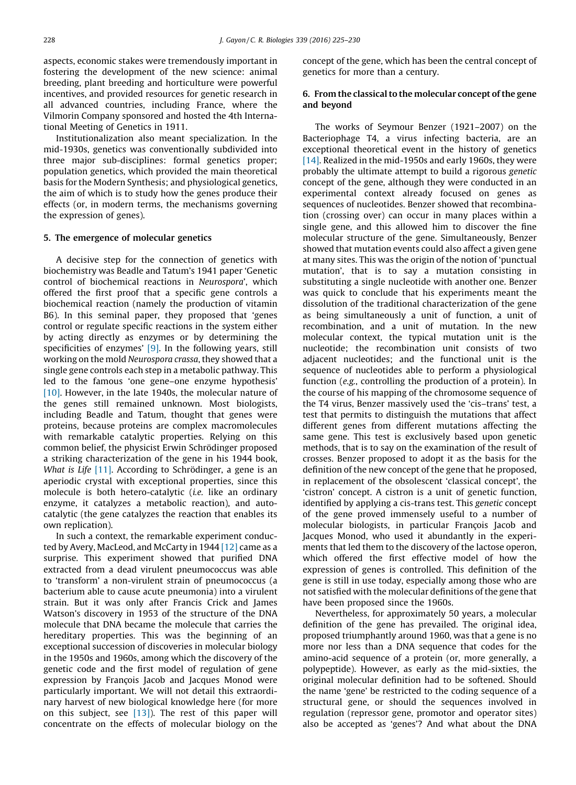<span id="page-3-0"></span>aspects, economic stakes were tremendously important in fostering the development of the new science: animal breeding, plant breeding and horticulture were powerful incentives, and provided resources for genetic research in all advanced countries, including France, where the Vilmorin Company sponsored and hosted the 4th International Meeting of Genetics in 1911.

Institutionalization also meant specialization. In the mid-1930s, genetics was conventionally subdivided into three major sub-disciplines: formal genetics proper; population genetics, which provided the main theoretical basis for the Modern Synthesis; and physiological genetics, the aim of which is to study how the genes produce their effects (or, in modern terms, the mechanisms governing the expression of genes).

#### 5. The emergence of molecular genetics

A decisive step for the connection of genetics with biochemistry was Beadle and Tatum's 1941 paper 'Genetic control of biochemical reactions in Neurospora', which offered the first proof that a specific gene controls a biochemical reaction (namely the production of vitamin B6). In this seminal paper, they proposed that 'genes control or regulate specific reactions in the system either by acting directly as enzymes or by determining the specificities of enzymes' [\[9\]](#page-5-0). In the following years, still working on the mold Neurospora crassa, they showed that a single gene controls each step in a metabolic pathway. This led to the famous 'one gene–one enzyme hypothesis' [\[10\].](#page-5-0) However, in the late 1940s, the molecular nature of the genes still remained unknown. Most biologists, including Beadle and Tatum, thought that genes were proteins, because proteins are complex macromolecules with remarkable catalytic properties. Relying on this common belief, the physicist Erwin Schrödinger proposed a striking characterization of the gene in his 1944 book, What is Life  $[11]$ . According to Schrödinger, a gene is an aperiodic crystal with exceptional properties, since this molecule is both hetero-catalytic (i.e. like an ordinary enzyme, it catalyzes a metabolic reaction), and autocatalytic (the gene catalyzes the reaction that enables its own replication).

In such a context, the remarkable experiment conducted by Avery, MacLeod, and McCarty in 1944 [\[12\]](#page-5-0) came as a surprise. This experiment showed that purified DNA extracted from a dead virulent pneumococcus was able to 'transform' a non-virulent strain of pneumococcus (a bacterium able to cause acute pneumonia) into a virulent strain. But it was only after Francis Crick and James Watson's discovery in 1953 of the structure of the DNA molecule that DNA became the molecule that carries the hereditary properties. This was the beginning of an exceptional succession of discoveries in molecular biology in the 1950s and 1960s, among which the discovery of the genetic code and the first model of regulation of gene expression by François Jacob and Jacques Monod were particularly important. We will not detail this extraordinary harvest of new biological knowledge here (for more on this subject, see [\[13\]\)](#page-5-0). The rest of this paper will concentrate on the effects of molecular biology on the concept of the gene, which has been the central concept of genetics for more than a century.

#### 6. From the classical to the molecular concept of the gene and beyond

The works of Seymour Benzer (1921–2007) on the Bacteriophage T4, a virus infecting bacteria, are an exceptional theoretical event in the history of genetics [\[14\].](#page-5-0) Realized in the mid-1950s and early 1960s, they were probably the ultimate attempt to build a rigorous genetic concept of the gene, although they were conducted in an experimental context already focused on genes as sequences of nucleotides. Benzer showed that recombination (crossing over) can occur in many places within a single gene, and this allowed him to discover the fine molecular structure of the gene. Simultaneously, Benzer showed that mutation events could also affect a given gene at many sites. This was the origin of the notion of 'punctual mutation', that is to say a mutation consisting in substituting a single nucleotide with another one. Benzer was quick to conclude that his experiments meant the dissolution of the traditional characterization of the gene as being simultaneously a unit of function, a unit of recombination, and a unit of mutation. In the new molecular context, the typical mutation unit is the nucleotide; the recombination unit consists of two adjacent nucleotides; and the functional unit is the sequence of nucleotides able to perform a physiological function (e.g., controlling the production of a protein). In the course of his mapping of the chromosome sequence of the T4 virus, Benzer massively used the 'cis–trans' test, a test that permits to distinguish the mutations that affect different genes from different mutations affecting the same gene. This test is exclusively based upon genetic methods, that is to say on the examination of the result of crosses. Benzer proposed to adopt it as the basis for the definition of the new concept of the gene that he proposed, in replacement of the obsolescent 'classical concept', the 'cistron' concept. A cistron is a unit of genetic function, identified by applying a cis-trans test. This genetic concept of the gene proved immensely useful to a number of molecular biologists, in particular François Jacob and Jacques Monod, who used it abundantly in the experiments that led them to the discovery of the lactose operon, which offered the first effective model of how the expression of genes is controlled. This definition of the gene is still in use today, especially among those who are not satisfied with the molecular definitions of the gene that have been proposed since the 1960s.

Nevertheless, for approximately 50 years, a molecular definition of the gene has prevailed. The original idea, proposed triumphantly around 1960, was that a gene is no more nor less than a DNA sequence that codes for the amino-acid sequence of a protein (or, more generally, a polypeptide). However, as early as the mid-sixties, the original molecular definition had to be softened. Should the name 'gene' be restricted to the coding sequence of a structural gene, or should the sequences involved in regulation (repressor gene, promotor and operator sites) also be accepted as 'genes'? And what about the DNA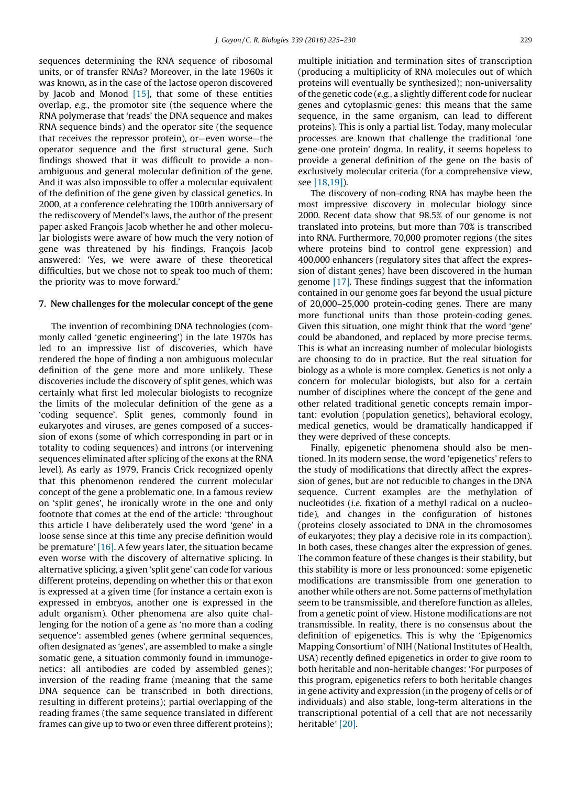sequences determining the RNA sequence of ribosomal units, or of transfer RNAs? Moreover, in the late 1960s it was known, as in the case of the lactose operon discovered by Jacob and Monod [\[15\]](#page-5-0), that some of these entities overlap, e.g., the promotor site (the sequence where the RNA polymerase that 'reads' the DNA sequence and makes RNA sequence binds) and the operator site (the sequence that receives the repressor protein), or—even worse—the operator sequence and the first structural gene. Such findings showed that it was difficult to provide a nonambiguous and general molecular definition of the gene. And it was also impossible to offer a molecular equivalent of the definition of the gene given by classical genetics. In 2000, at a conference celebrating the 100th anniversary of the rediscovery of Mendel's laws, the author of the present paper asked François Jacob whether he and other molecular biologists were aware of how much the very notion of gene was threatened by his findings. François Jacob answered: 'Yes, we were aware of these theoretical difficulties, but we chose not to speak too much of them; the priority was to move forward.'

#### 7. New challenges for the molecular concept of the gene

The invention of recombining DNA technologies (commonly called 'genetic engineering') in the late 1970s has led to an impressive list of discoveries, which have rendered the hope of finding a non ambiguous molecular definition of the gene more and more unlikely. These discoveries include the discovery of split genes, which was certainly what first led molecular biologists to recognize the limits of the molecular definition of the gene as a 'coding sequence'. Split genes, commonly found in eukaryotes and viruses, are genes composed of a succession of exons (some of which corresponding in part or in totality to coding sequences) and introns (or intervening sequences eliminated after splicing of the exons at the RNA level). As early as 1979, Francis Crick recognized openly that this phenomenon rendered the current molecular concept of the gene a problematic one. In a famous review on 'split genes', he ironically wrote in the one and only footnote that comes at the end of the article: 'throughout this article I have deliberately used the word 'gene' in a loose sense since at this time any precise definition would be premature' [\[16\].](#page-5-0) A few years later, the situation became even worse with the discovery of alternative splicing. In alternative splicing, a given 'split gene' can code for various different proteins, depending on whether this or that exon is expressed at a given time (for instance a certain exon is expressed in embryos, another one is expressed in the adult organism). Other phenomena are also quite challenging for the notion of a gene as 'no more than a coding sequence': assembled genes (where germinal sequences, often designated as 'genes', are assembled to make a single somatic gene, a situation commonly found in immunogenetics: all antibodies are coded by assembled genes); inversion of the reading frame (meaning that the same DNA sequence can be transcribed in both directions, resulting in different proteins); partial overlapping of the reading frames (the same sequence translated in different frames can give up to two or even three different proteins); multiple initiation and termination sites of transcription (producing a multiplicity of RNA molecules out of which proteins will eventually be synthesized); non-universality of the genetic code (e.g., a slightly different code for nuclear genes and cytoplasmic genes: this means that the same sequence, in the same organism, can lead to different proteins). This is only a partial list. Today, many molecular processes are known that challenge the traditional 'one gene-one protein' dogma. In reality, it seems hopeless to provide a general definition of the gene on the basis of exclusively molecular criteria (for a comprehensive view, see [\[18,19\]](#page-5-0)).

The discovery of non-coding RNA has maybe been the most impressive discovery in molecular biology since 2000. Recent data show that 98.5% of our genome is not translated into proteins, but more than 70% is transcribed into RNA. Furthermore, 70,000 promoter regions (the sites where proteins bind to control gene expression) and 400,000 enhancers (regulatory sites that affect the expression of distant genes) have been discovered in the human genome [\[17\]](#page-5-0). These findings suggest that the information contained in our genome goes far beyond the usual picture of 20,000–25,000 protein-coding genes. There are many more functional units than those protein-coding genes. Given this situation, one might think that the word 'gene' could be abandoned, and replaced by more precise terms. This is what an increasing number of molecular biologists are choosing to do in practice. But the real situation for biology as a whole is more complex. Genetics is not only a concern for molecular biologists, but also for a certain number of disciplines where the concept of the gene and other related traditional genetic concepts remain important: evolution (population genetics), behavioral ecology, medical genetics, would be dramatically handicapped if they were deprived of these concepts.

Finally, epigenetic phenomena should also be mentioned. In its modern sense, the word 'epigenetics' refers to the study of modifications that directly affect the expression of genes, but are not reducible to changes in the DNA sequence. Current examples are the methylation of nucleotides (i.e. fixation of a methyl radical on a nucleotide), and changes in the configuration of histones (proteins closely associated to DNA in the chromosomes of eukaryotes; they play a decisive role in its compaction). In both cases, these changes alter the expression of genes. The common feature of these changes is their stability, but this stability is more or less pronounced: some epigenetic modifications are transmissible from one generation to another while others are not. Some patterns of methylation seem to be transmissible, and therefore function as alleles, from a genetic point of view. Histone modifications are not transmissible. In reality, there is no consensus about the definition of epigenetics. This is why the 'Epigenomics Mapping Consortium' of NIH (National Institutes of Health, USA) recently defined epigenetics in order to give room to both heritable and non-heritable changes: 'For purposes of this program, epigenetics refers to both heritable changes in gene activity and expression (in the progeny of cells or of individuals) and also stable, long-term alterations in the transcriptional potential of a cell that are not necessarily heritable' [\[20\]](#page-5-0).